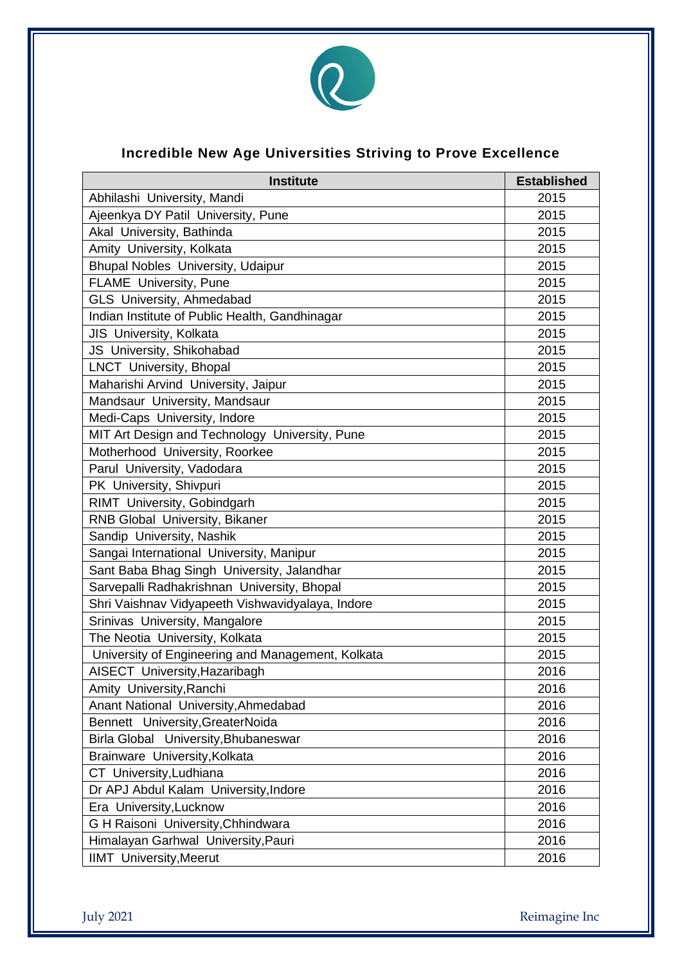

## **Incredible New Age Universities Striving to Prove Excellence**

| <b>Institute</b>                                  | <b>Established</b> |
|---------------------------------------------------|--------------------|
| Abhilashi University, Mandi                       | 2015               |
| Ajeenkya DY Patil University, Pune                | 2015               |
| Akal University, Bathinda                         | 2015               |
| Amity University, Kolkata                         | 2015               |
| <b>Bhupal Nobles University, Udaipur</b>          | 2015               |
| <b>FLAME</b> University, Pune                     | 2015               |
| GLS University, Ahmedabad                         | 2015               |
| Indian Institute of Public Health, Gandhinagar    | 2015               |
| JIS University, Kolkata                           | 2015               |
| JS University, Shikohabad                         | 2015               |
| <b>LNCT</b> University, Bhopal                    | 2015               |
| Maharishi Arvind University, Jaipur               | 2015               |
| Mandsaur University, Mandsaur                     | 2015               |
| Medi-Caps University, Indore                      | 2015               |
| MIT Art Design and Technology University, Pune    | 2015               |
| Motherhood University, Roorkee                    | 2015               |
| Parul University, Vadodara                        | 2015               |
| PK University, Shivpuri                           | 2015               |
| RIMT University, Gobindgarh                       | 2015               |
| RNB Global University, Bikaner                    | 2015               |
| Sandip University, Nashik                         | 2015               |
| Sangai International University, Manipur          | 2015               |
| Sant Baba Bhag Singh University, Jalandhar        | 2015               |
| Sarvepalli Radhakrishnan University, Bhopal       | 2015               |
| Shri Vaishnav Vidyapeeth Vishwavidyalaya, Indore  | 2015               |
| Srinivas University, Mangalore                    | 2015               |
| The Neotia University, Kolkata                    | 2015               |
| University of Engineering and Management, Kolkata | 2015               |
| AISECT University, Hazaribagh                     | 2016               |
| Amity University, Ranchi                          | 2016               |
| Anant National University, Ahmedabad              | 2016               |
| Bennett University, GreaterNoida                  | 2016               |
| Birla Global University, Bhubaneswar              | 2016               |
| Brainware University, Kolkata                     | 2016               |
| CT University, Ludhiana                           | 2016               |
| Dr APJ Abdul Kalam University, Indore             | 2016               |
| Era University, Lucknow                           | 2016               |
| G H Raisoni University, Chhindwara                | 2016               |
| Himalayan Garhwal University, Pauri               | 2016               |
| <b>IIMT</b> University, Meerut                    | 2016               |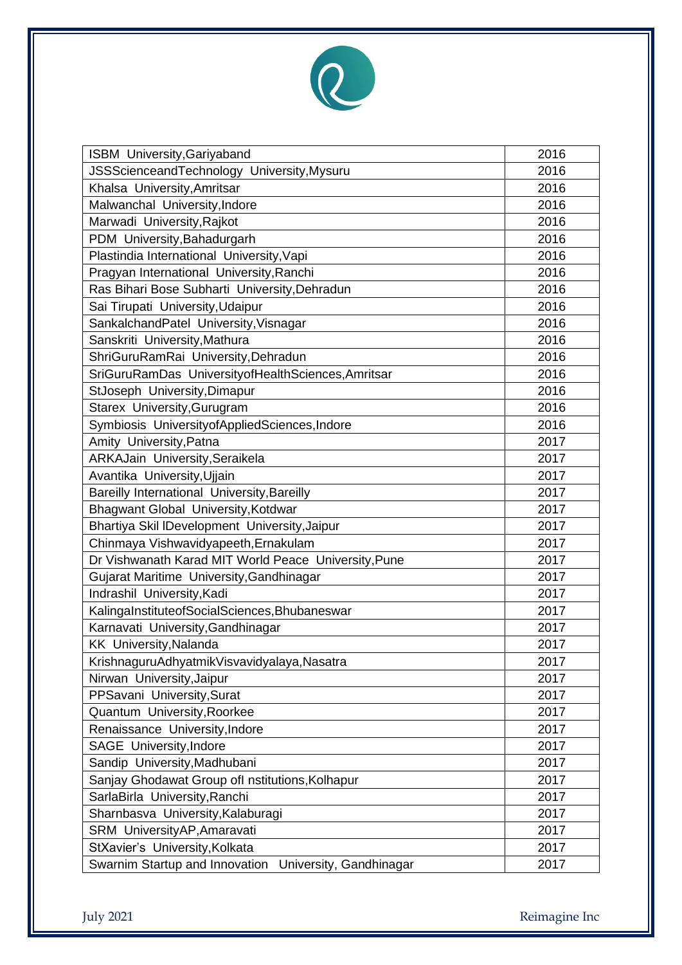

| <b>ISBM</b> University, Gariyaband                        | 2016 |
|-----------------------------------------------------------|------|
| JSSScienceandTechnology University, Mysuru                | 2016 |
| Khalsa University, Amritsar                               | 2016 |
| Malwanchal University, Indore                             | 2016 |
| Marwadi University, Rajkot                                | 2016 |
| PDM University, Bahadurgarh                               | 2016 |
| Plastindia International University, Vapi                 | 2016 |
| Pragyan International University, Ranchi                  | 2016 |
| Ras Bihari Bose Subharti University, Dehradun             | 2016 |
| Sai Tirupati University, Udaipur                          | 2016 |
| SankalchandPatel University, Visnagar                     | 2016 |
| Sanskriti University, Mathura                             | 2016 |
| ShriGuruRamRai University, Dehradun                       | 2016 |
| SriGuruRamDas UniversityofHealthSciences, Amritsar        | 2016 |
| StJoseph University, Dimapur                              | 2016 |
| Starex University, Gurugram                               | 2016 |
| Symbiosis UniversityofAppliedSciences, Indore             | 2016 |
| Amity University, Patna                                   | 2017 |
| ARKAJain University, Seraikela                            | 2017 |
| Avantika University, Ujjain                               | 2017 |
| Bareilly International University, Bareilly               | 2017 |
| Bhagwant Global University, Kotdwar                       | 2017 |
| Bhartiya Skil IDevelopment University, Jaipur             | 2017 |
| Chinmaya Vishwavidyapeeth, Ernakulam                      | 2017 |
| Dr Vishwanath Karad MIT World Peace University, Pune      | 2017 |
| Gujarat Maritime University, Gandhinagar                  | 2017 |
| Indrashil University, Kadi                                | 2017 |
| KalingaInstituteofSocialSciences, Bhubaneswar             | 2017 |
| Karnavati University, Gandhinagar                         | 2017 |
| <b>KK University, Nalanda</b>                             | 2017 |
| KrishnaguruAdhyatmikVisvavidyalaya,Nasatra                | 2017 |
| Nirwan University, Jaipur                                 | 2017 |
| PPSavani University, Surat                                | 2017 |
| Quantum University, Roorkee                               | 2017 |
| Renaissance University, Indore                            | 2017 |
| SAGE University, Indore                                   | 2017 |
| Sandip University, Madhubani                              | 2017 |
| Sanjay Ghodawat Group ofl nstitutions, Kolhapur           | 2017 |
| SarlaBirla University, Ranchi                             | 2017 |
| Sharnbasva University, Kalaburagi                         | 2017 |
| SRM UniversityAP, Amaravati                               | 2017 |
| StXavier's University, Kolkata                            | 2017 |
| Swarnim Startup and Innovation<br>University, Gandhinagar | 2017 |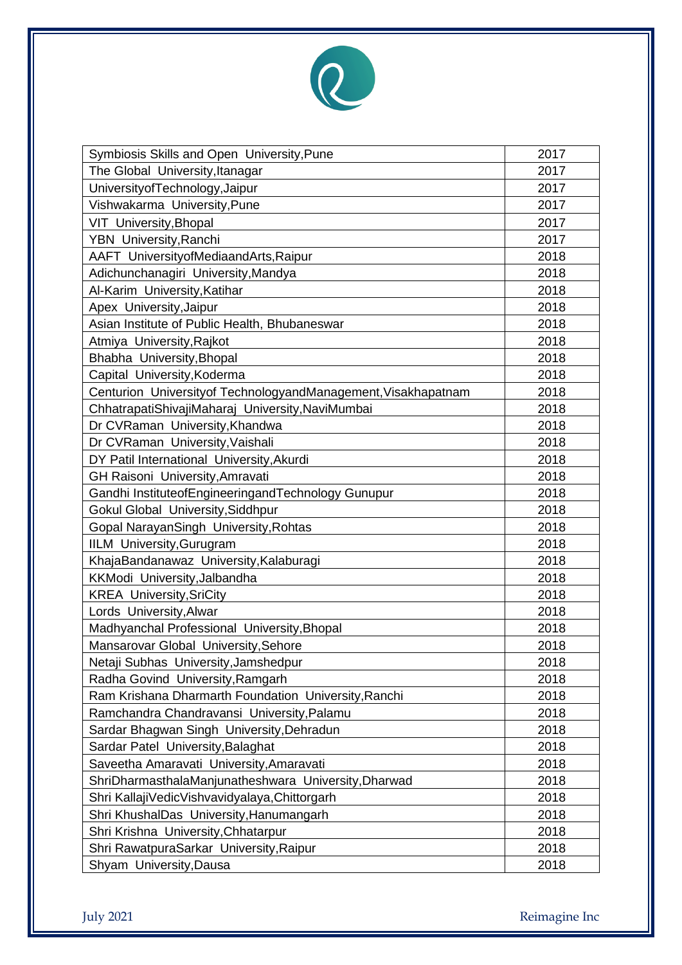

| Symbiosis Skills and Open University, Pune                    | 2017 |
|---------------------------------------------------------------|------|
| The Global University, Itanagar                               | 2017 |
| University of Technology, Jaipur                              | 2017 |
| Vishwakarma University, Pune                                  | 2017 |
| VIT University, Bhopal                                        | 2017 |
| YBN University, Ranchi                                        | 2017 |
| AAFT UniversityofMediaandArts, Raipur                         | 2018 |
| Adichunchanagiri University, Mandya                           | 2018 |
| Al-Karim University, Katihar                                  | 2018 |
| Apex University, Jaipur                                       | 2018 |
| Asian Institute of Public Health, Bhubaneswar                 | 2018 |
| Atmiya University, Rajkot                                     | 2018 |
| Bhabha University, Bhopal                                     | 2018 |
| Capital University, Koderma                                   | 2018 |
| Centurion Universityof TechnologyandManagement, Visakhapatnam | 2018 |
| ChhatrapatiShivajiMaharaj University, NaviMumbai              | 2018 |
| Dr CVRaman University, Khandwa                                | 2018 |
| Dr CVRaman University, Vaishali                               | 2018 |
| DY Patil International University, Akurdi                     | 2018 |
| GH Raisoni University, Amravati                               | 2018 |
| Gandhi InstituteofEngineeringandTechnology Gunupur            | 2018 |
| Gokul Global University, Siddhpur                             | 2018 |
| Gopal NarayanSingh University, Rohtas                         | 2018 |
| <b>IILM University, Gurugram</b>                              | 2018 |
| KhajaBandanawaz University, Kalaburagi                        | 2018 |
| KKModi University, Jalbandha                                  | 2018 |
| <b>KREA University, SriCity</b>                               | 2018 |
| Lords University, Alwar                                       | 2018 |
| Madhyanchal Professional University, Bhopal                   | 2018 |
| Mansarovar Global University, Sehore                          | 2018 |
| Netaji Subhas University, Jamshedpur                          | 2018 |
| Radha Govind University, Ramgarh                              | 2018 |
| Ram Krishana Dharmarth Foundation University, Ranchi          | 2018 |
| Ramchandra Chandravansi University, Palamu                    | 2018 |
| Sardar Bhagwan Singh University, Dehradun                     | 2018 |
| Sardar Patel University, Balaghat                             | 2018 |
| Saveetha Amaravati University, Amaravati                      | 2018 |
| ShriDharmasthalaManjunatheshwara University, Dharwad          | 2018 |
| Shri KallajiVedicVishvavidyalaya, Chittorgarh                 | 2018 |
| Shri KhushalDas University, Hanumangarh                       | 2018 |
| Shri Krishna University, Chhatarpur                           | 2018 |
| Shri RawatpuraSarkar University, Raipur                       | 2018 |
| Shyam University, Dausa                                       | 2018 |